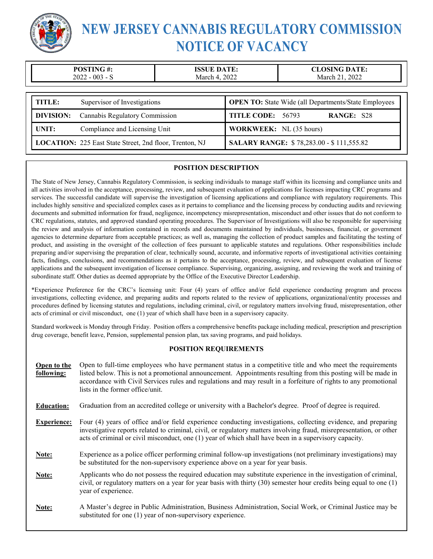

# **NEW JERSEY CANNABIS REGULATORY COMMISSION NOTICE OF VACANCY**

| $\overline{\mathbf{u}}$<br>$^{\tiny{\textsf{m}}}$<br>$\boldsymbol{\pi}$ . | A TF                                                                                    | ATE.         |
|---------------------------------------------------------------------------|-----------------------------------------------------------------------------------------|--------------|
| 003<br>2022<br>`-                                                         | $202^{\circ}$<br>alarek<br>$\overline{\phantom{a}}$<br>$\mathsf{v}\mathsf{v}\mathsf{v}$ | 2022<br>Marc |

| TITLE: | Supervisor of Investigations                            | <b>OPEN TO:</b> State Wide (all Departments/State Employees |
|--------|---------------------------------------------------------|-------------------------------------------------------------|
|        | <b>DIVISION:</b> Cannabis Regulatory Commission         | TITLE CODE: 56793<br><b>RANGE: S28</b>                      |
| UNIT:  | Compliance and Licensing Unit                           | <b>WORKWEEK:</b> NL (35 hours)                              |
|        | LOCATION: 225 East State Street, 2nd floor, Trenton, NJ | <b>SALARY RANGE: \$78,283.00 - \$111,555.82</b>             |

#### **POSITION DESCRIPTION**

The State of New Jersey, Cannabis Regulatory Commission, is seeking individuals to manage staff within its licensing and compliance units and all activities involved in the acceptance, processing, review, and subsequent evaluation of applications for licenses impacting CRC programs and services. The successful candidate will supervise the investigation of licensing applications and compliance with regulatory requirements. This includes highly sensitive and specialized complex cases as it pertains to compliance and the licensing process by conducting audits and reviewing documents and submitted information for fraud, negligence, incompetency misrepresentation, misconduct and other issues that do not conform to CRC regulations, statutes, and approved standard operating procedures. The Supervisor of Investigations will also be responsible for supervising the review and analysis of information contained in records and documents maintained by individuals, businesses, financial, or government agencies to determine departure from acceptable practices; as well as, managing the collection of product samples and facilitating the testing of product, and assisting in the oversight of the collection of fees pursuant to applicable statutes and regulations. Other responsibilities include preparing and/or supervising the preparation of clear, technically sound, accurate, and informative reports of investigational activities containing facts, findings, conclusions, and recommendations as it pertains to the acceptance, processing, review, and subsequent evaluation of license applications and the subsequent investigation of licensee compliance. Supervising, organizing, assigning, and reviewing the work and training of subordinate staff. Other duties as deemed appropriate by the Office of the Executive Director Leadership.

\*Experience Preference for the CRC's licensing unit: Four (4) years of office and/or field experience conducting program and process investigations, collecting evidence, and preparing audits and reports related to the review of applications, organizational/entity processes and procedures defined by licensing statutes and regulations, including criminal, civil, or regulatory matters involving fraud, misrepresentation, other acts of criminal or civil misconduct, one (1) year of which shall have been in a supervisory capacity.

Standard workweek is Monday through Friday. Position offers a comprehensive benefits package including medical, prescription and prescription drug coverage, benefit leave, Pension, supplemental pension plan, tax saving programs, and paid holidays.

#### **POSITION REQUIREMENTS**

| Open to the<br>following: | Open to full-time employees who have permanent status in a competitive title and who meet the requirements<br>listed below. This is not a promotional announcement. Appointments resulting from this posting will be made in<br>accordance with Civil Services rules and regulations and may result in a forfeiture of rights to any promotional<br>lists in the former office/unit. |
|---------------------------|--------------------------------------------------------------------------------------------------------------------------------------------------------------------------------------------------------------------------------------------------------------------------------------------------------------------------------------------------------------------------------------|
| <b>Education:</b>         | Graduation from an accredited college or university with a Bachelor's degree. Proof of degree is required.                                                                                                                                                                                                                                                                           |
| <b>Experience:</b>        | Four (4) years of office and/or field experience conducting investigations, collecting evidence, and preparing<br>investigative reports related to criminal, civil, or regulatory matters involving fraud, misrepresentation, or other<br>acts of criminal or civil misconduct, one (1) year of which shall have been in a supervisory capacity.                                     |
| Note:                     | Experience as a police officer performing criminal follow-up investigations (not preliminary investigations) may<br>be substituted for the non-supervisory experience above on a year for year basis.                                                                                                                                                                                |
| Note:                     | Applicants who do not possess the required education may substitute experience in the investigation of criminal,<br>civil, or regulatory matters on a year for year basis with thirty $(30)$ semester hour credits being equal to one $(1)$<br>year of experience.                                                                                                                   |
| Note:                     | A Master's degree in Public Administration, Business Administration, Social Work, or Criminal Justice may be<br>substituted for one (1) year of non-supervisory experience.                                                                                                                                                                                                          |